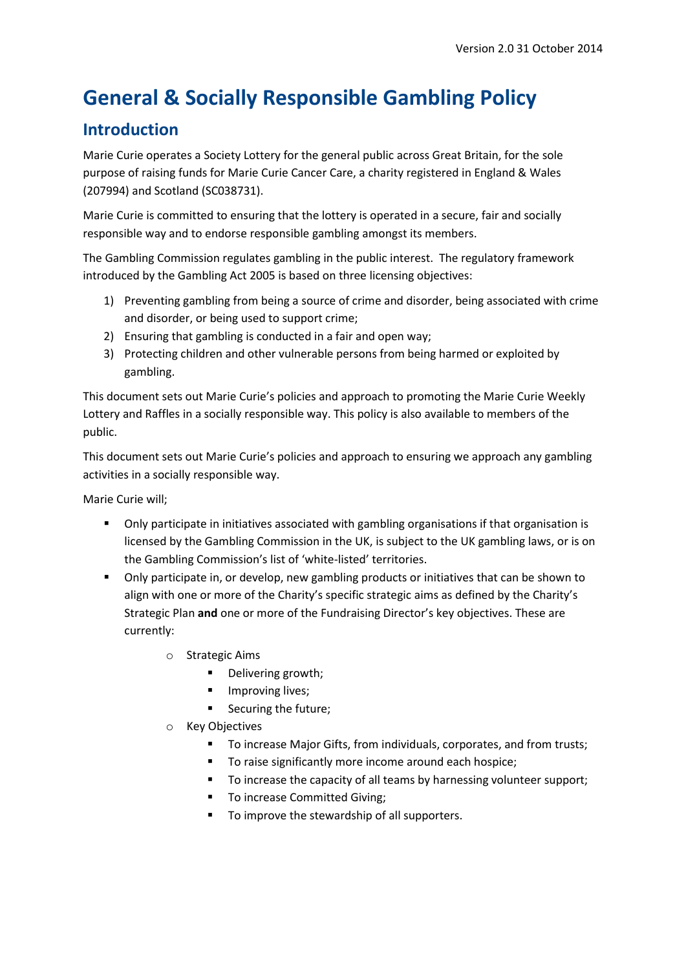# **General & Socially Responsible Gambling Policy**

# **Introduction**

Marie Curie operates a Society Lottery for the general public across Great Britain, for the sole purpose of raising funds for Marie Curie Cancer Care, a charity registered in England & Wales (207994) and Scotland (SC038731).

Marie Curie is committed to ensuring that the lottery is operated in a secure, fair and socially responsible way and to endorse responsible gambling amongst its members.

The Gambling Commission regulates gambling in the public interest. The regulatory framework introduced by the Gambling Act 2005 is based on three licensing objectives:

- 1) Preventing gambling from being a source of crime and disorder, being associated with crime and disorder, or being used to support crime;
- 2) Ensuring that gambling is conducted in a fair and open way;
- 3) Protecting children and other vulnerable persons from being harmed or exploited by gambling.

This document sets out Marie Curie's policies and approach to promoting the Marie Curie Weekly Lottery and Raffles in a socially responsible way. This policy is also available to members of the public.

This document sets out Marie Curie's policies and approach to ensuring we approach any gambling activities in a socially responsible way.

Marie Curie will;

- Only participate in initiatives associated with gambling organisations if that organisation is licensed by the Gambling Commission in the UK, is subject to the UK gambling laws, or is on the Gambling Commission's list of 'white-listed' territories.
- Only participate in, or develop, new gambling products or initiatives that can be shown to align with one or more of the Charity's specific strategic aims as defined by the Charity's Strategic Plan **and** one or more of the Fundraising Director's key objectives. These are currently:
	- o Strategic Aims
		- **•** Delivering growth;
		- **Improving lives;**
		- Securing the future;
	- Key Objectives
		- To increase Major Gifts, from individuals, corporates, and from trusts;
		- **To raise significantly more income around each hospice;**
		- To increase the capacity of all teams by harnessing volunteer support;
		- **To increase Committed Giving;**
		- To improve the stewardship of all supporters.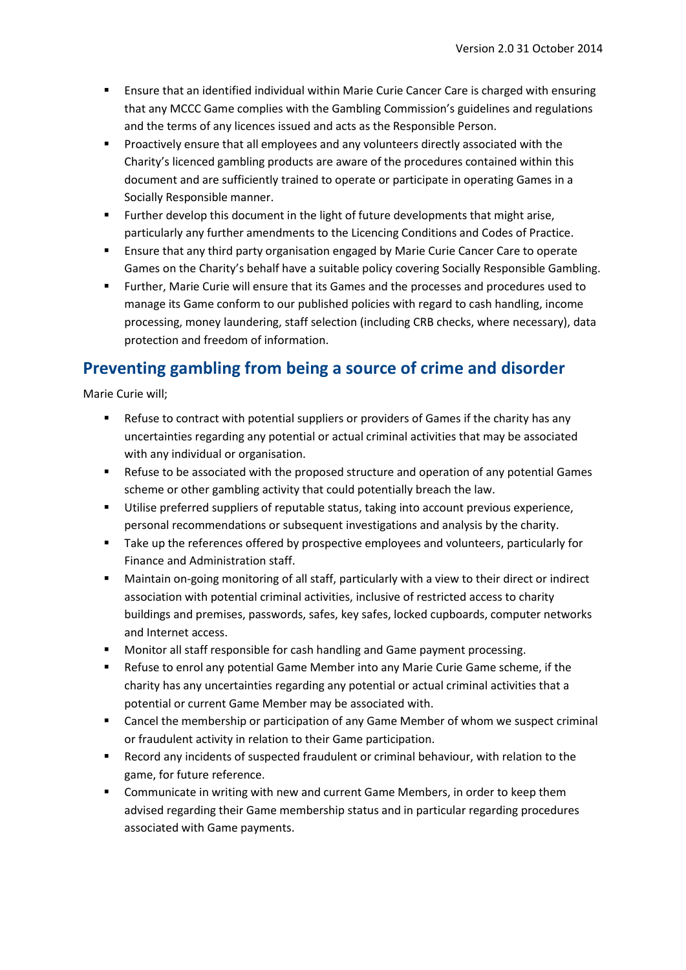- Ensure that an identified individual within Marie Curie Cancer Care is charged with ensuring that any MCCC Game complies with the Gambling Commission's guidelines and regulations and the terms of any licences issued and acts as the Responsible Person.
- **Proactively ensure that all employees and any volunteers directly associated with the** Charity's licenced gambling products are aware of the procedures contained within this document and are sufficiently trained to operate or participate in operating Games in a Socially Responsible manner.
- Further develop this document in the light of future developments that might arise, particularly any further amendments to the Licencing Conditions and Codes of Practice.
- Ensure that any third party organisation engaged by Marie Curie Cancer Care to operate Games on the Charity's behalf have a suitable policy covering Socially Responsible Gambling.
- Further, Marie Curie will ensure that its Games and the processes and procedures used to manage its Game conform to our published policies with regard to cash handling, income processing, money laundering, staff selection (including CRB checks, where necessary), data protection and freedom of information.

## **Preventing gambling from being a source of crime and disorder**

Marie Curie will;

- **EXEL A** Refuse to contract with potential suppliers or providers of Games if the charity has any uncertainties regarding any potential or actual criminal activities that may be associated with any individual or organisation.
- **Refuse to be associated with the proposed structure and operation of any potential Games** scheme or other gambling activity that could potentially breach the law.
- Utilise preferred suppliers of reputable status, taking into account previous experience, personal recommendations or subsequent investigations and analysis by the charity.
- **Take up the references offered by prospective employees and volunteers, particularly for** Finance and Administration staff.
- Maintain on-going monitoring of all staff, particularly with a view to their direct or indirect association with potential criminal activities, inclusive of restricted access to charity buildings and premises, passwords, safes, key safes, locked cupboards, computer networks and Internet access.
- Monitor all staff responsible for cash handling and Game payment processing.
- Refuse to enrol any potential Game Member into any Marie Curie Game scheme, if the charity has any uncertainties regarding any potential or actual criminal activities that a potential or current Game Member may be associated with.
- Cancel the membership or participation of any Game Member of whom we suspect criminal or fraudulent activity in relation to their Game participation.
- Record any incidents of suspected fraudulent or criminal behaviour, with relation to the game, for future reference.
- Communicate in writing with new and current Game Members, in order to keep them advised regarding their Game membership status and in particular regarding procedures associated with Game payments.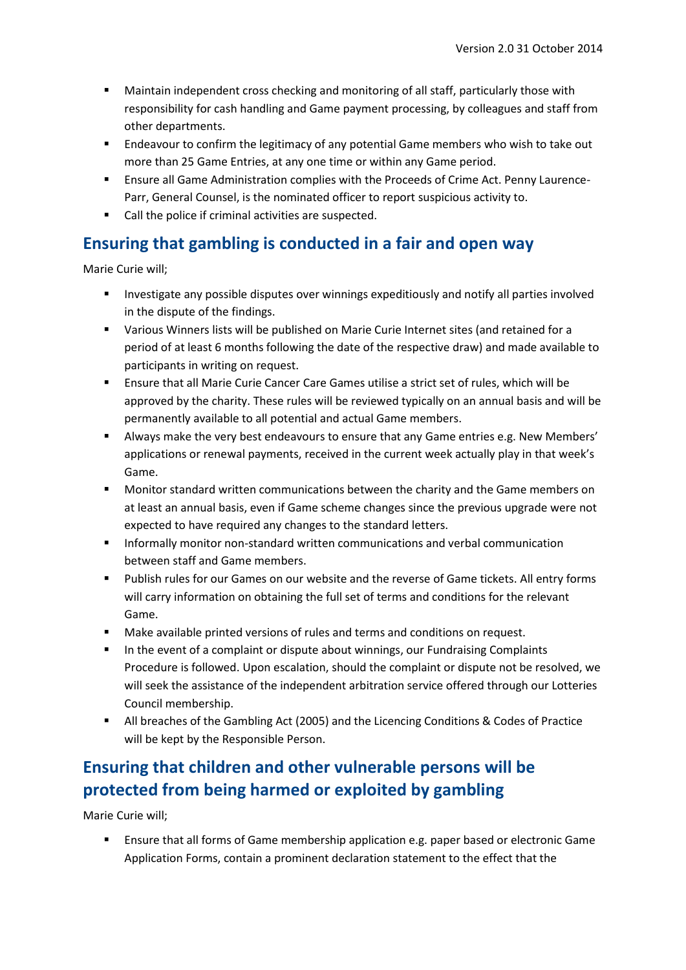- Maintain independent cross checking and monitoring of all staff, particularly those with responsibility for cash handling and Game payment processing, by colleagues and staff from other departments.
- **Endeavour to confirm the legitimacy of any potential Game members who wish to take out** more than 25 Game Entries, at any one time or within any Game period.
- Ensure all Game Administration complies with the Proceeds of Crime Act. Penny Laurence-Parr, General Counsel, is the nominated officer to report suspicious activity to.
- Call the police if criminal activities are suspected.

### **Ensuring that gambling is conducted in a fair and open way**

Marie Curie will;

- Investigate any possible disputes over winnings expeditiously and notify all parties involved in the dispute of the findings.
- Various Winners lists will be published on Marie Curie Internet sites (and retained for a period of at least 6 months following the date of the respective draw) and made available to participants in writing on request.
- Ensure that all Marie Curie Cancer Care Games utilise a strict set of rules, which will be approved by the charity. These rules will be reviewed typically on an annual basis and will be permanently available to all potential and actual Game members.
- Always make the very best endeavours to ensure that any Game entries e.g. New Members' applications or renewal payments, received in the current week actually play in that week's Game.
- **Monitor standard written communications between the charity and the Game members on** at least an annual basis, even if Game scheme changes since the previous upgrade were not expected to have required any changes to the standard letters.
- Informally monitor non-standard written communications and verbal communication between staff and Game members.
- Publish rules for our Games on our website and the reverse of Game tickets. All entry forms will carry information on obtaining the full set of terms and conditions for the relevant Game.
- Make available printed versions of rules and terms and conditions on request.
- In the event of a complaint or dispute about winnings, our Fundraising Complaints Procedure is followed. Upon escalation, should the complaint or dispute not be resolved, we will seek the assistance of the independent arbitration service offered through our Lotteries Council membership.
- All breaches of the Gambling Act (2005) and the Licencing Conditions & Codes of Practice will be kept by the Responsible Person.

# **Ensuring that children and other vulnerable persons will be protected from being harmed or exploited by gambling**

Marie Curie will;

 Ensure that all forms of Game membership application e.g. paper based or electronic Game Application Forms, contain a prominent declaration statement to the effect that the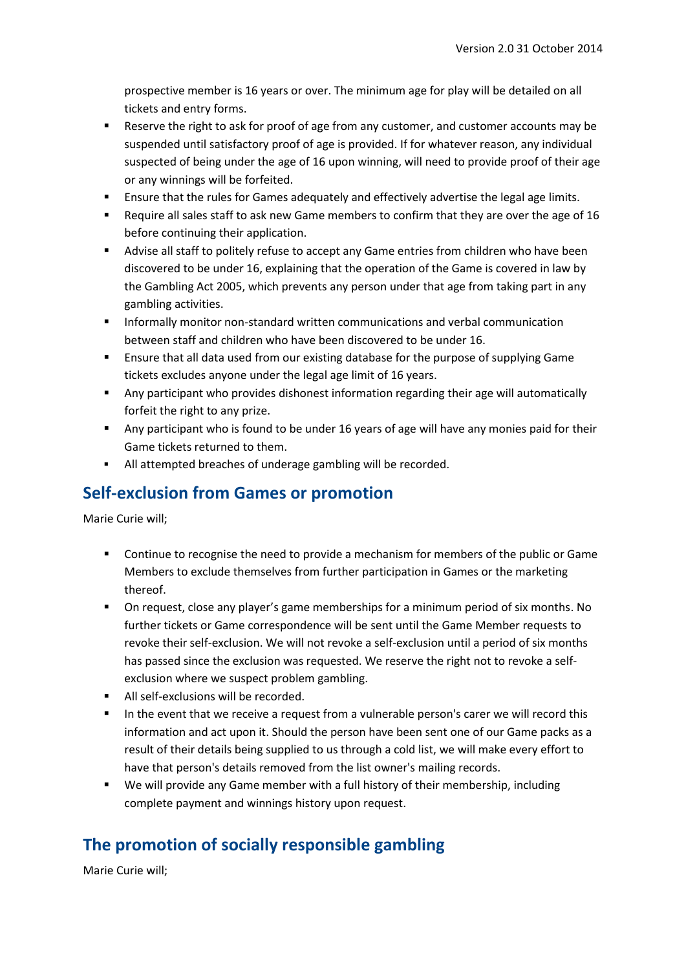prospective member is 16 years or over. The minimum age for play will be detailed on all tickets and entry forms.

- Reserve the right to ask for proof of age from any customer, and customer accounts may be suspended until satisfactory proof of age is provided. If for whatever reason, any individual suspected of being under the age of 16 upon winning, will need to provide proof of their age or any winnings will be forfeited.
- Ensure that the rules for Games adequately and effectively advertise the legal age limits.
- Require all sales staff to ask new Game members to confirm that they are over the age of 16 before continuing their application.
- Advise all staff to politely refuse to accept any Game entries from children who have been discovered to be under 16, explaining that the operation of the Game is covered in law by the Gambling Act 2005, which prevents any person under that age from taking part in any gambling activities.
- **Informally monitor non-standard written communications and verbal communication** between staff and children who have been discovered to be under 16.
- Ensure that all data used from our existing database for the purpose of supplying Game tickets excludes anyone under the legal age limit of 16 years.
- Any participant who provides dishonest information regarding their age will automatically forfeit the right to any prize.
- Any participant who is found to be under 16 years of age will have any monies paid for their Game tickets returned to them.
- All attempted breaches of underage gambling will be recorded.

### **Self-exclusion from Games or promotion**

Marie Curie will;

- **•** Continue to recognise the need to provide a mechanism for members of the public or Game Members to exclude themselves from further participation in Games or the marketing thereof.
- On request, close any player's game memberships for a minimum period of six months. No further tickets or Game correspondence will be sent until the Game Member requests to revoke their self-exclusion. We will not revoke a self-exclusion until a period of six months has passed since the exclusion was requested. We reserve the right not to revoke a selfexclusion where we suspect problem gambling.
- All self-exclusions will be recorded.
- In the event that we receive a request from a vulnerable person's carer we will record this information and act upon it. Should the person have been sent one of our Game packs as a result of their details being supplied to us through a cold list, we will make every effort to have that person's details removed from the list owner's mailing records.
- We will provide any Game member with a full history of their membership, including complete payment and winnings history upon request.

# **The promotion of socially responsible gambling**

Marie Curie will;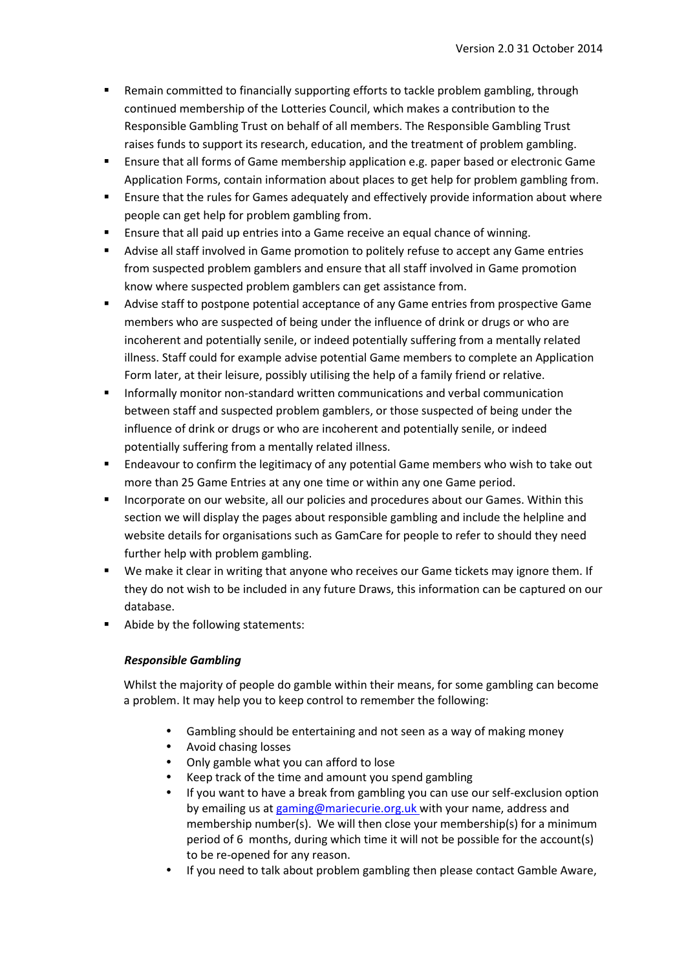- Remain committed to financially supporting efforts to tackle problem gambling, through continued membership of the Lotteries Council, which makes a contribution to the Responsible Gambling Trust on behalf of all members. The Responsible Gambling Trust raises funds to support its research, education, and the treatment of problem gambling.
- **Ensure that all forms of Game membership application e.g. paper based or electronic Game** Application Forms, contain information about places to get help for problem gambling from.
- Ensure that the rules for Games adequately and effectively provide information about where people can get help for problem gambling from.
- Ensure that all paid up entries into a Game receive an equal chance of winning.
- Advise all staff involved in Game promotion to politely refuse to accept any Game entries from suspected problem gamblers and ensure that all staff involved in Game promotion know where suspected problem gamblers can get assistance from.
- Advise staff to postpone potential acceptance of any Game entries from prospective Game members who are suspected of being under the influence of drink or drugs or who are incoherent and potentially senile, or indeed potentially suffering from a mentally related illness. Staff could for example advise potential Game members to complete an Application Form later, at their leisure, possibly utilising the help of a family friend or relative.
- **Informally monitor non-standard written communications and verbal communication** between staff and suspected problem gamblers, or those suspected of being under the influence of drink or drugs or who are incoherent and potentially senile, or indeed potentially suffering from a mentally related illness.
- Endeavour to confirm the legitimacy of any potential Game members who wish to take out more than 25 Game Entries at any one time or within any one Game period.
- **Incorporate on our website, all our policies and procedures about our Games. Within this** section we will display the pages about responsible gambling and include the helpline and website details for organisations such as GamCare for people to refer to should they need further help with problem gambling.
- We make it clear in writing that anyone who receives our Game tickets may ignore them. If they do not wish to be included in any future Draws, this information can be captured on our database.
- Abide by the following statements:

#### *Responsible Gambling*

Whilst the majority of people do gamble within their means, for some gambling can become a problem. It may help you to keep control to remember the following:

- Gambling should be entertaining and not seen as a way of making money
- Avoid chasing losses
- Only gamble what you can afford to lose
- Keep track of the time and amount you spend gambling
- If you want to have a break from gambling you can use our self-exclusion option by emailing us at gaming@mariecurie.org.uk with your name, address and membership number(s). We will then close your membership(s) for a minimum period of 6 months, during which time it will not be possible for the account(s) to be re-opened for any reason.
- If you need to talk about problem gambling then please contact Gamble Aware,